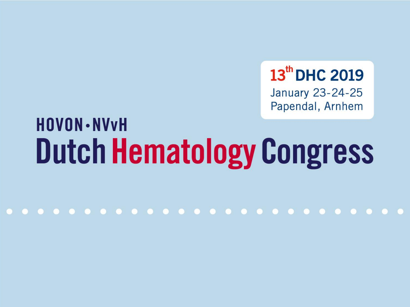13th DHC 2019

January 23-24-25 Papendal, Arnhem

# **HOVON** · NV<sub>V</sub>H **Dutch Hematology Congress**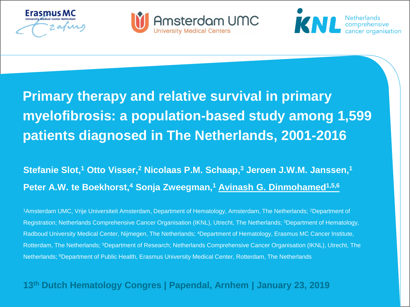





## **Primary therapy and relative survival in primary myelofibrosis: a population-based study among 1,599 patients diagnosed in The Netherlands, 2001-2016**

### **Stefanie Slot,<sup>1</sup> Otto Visser,<sup>2</sup> Nicolaas P.M. Schaap,<sup>3</sup> Jeroen J.W.M. Janssen,<sup>1</sup> Peter A.W. te Boekhorst,<sup>4</sup> Sonja Zweegman,<sup>1</sup> Avinash G. Dinmohamed1,5,6**

<sup>1</sup>Amsterdam UMC, Vrije Universiteit Amsterdam, Department of Hematology, Amsterdam, The Netherlands; <sup>2</sup>Department of Registration; Netherlands Comprehensive Cancer Organisation (IKNL), Utrecht, The Netherlands; <sup>3</sup>Department of Hematology, Radboud University Medical Center, Nijmegen, The Netherlands; <sup>4</sup>Department of Hematology, Erasmus MC Cancer Institute, Rotterdam, The Netherlands; <sup>5</sup>Department of Research; Netherlands Comprehensive Cancer Organisation (IKNL), Utrecht, The Netherlands; <sup>6</sup>Department of Public Health, Erasmus University Medical Center, Rotterdam, The Netherlands

#### **13th Dutch Hematology Congres | Papendal, Arnhem | January 23, 2019**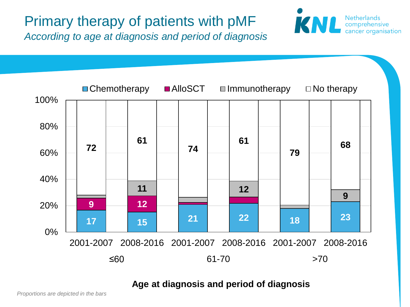## Primary therapy of patients with pMF

*According to age at diagnosis and period of diagnosis*



**Netherlands** 

comprehensive<br>cancer organisation

KNL

#### **Age at diagnosis and period of diagnosis**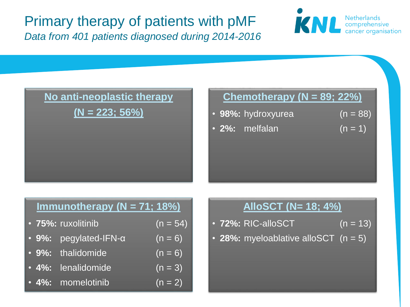Primary therapy of patients with pMF *Data from 401 patients diagnosed during 2014-2016*





#### **Chemotherapy (N = 89; 22%)**

- **98%:** hydroxyurea (n = 88)
- **2%:** melfalan (n = 1)

### **Immunotherapy (N = 71; 18%)**

- **75%:** ruxolitinib (n = 54)
- **9%:** pegylated-IFN-α (n = 6)
- **9%:** thalidomide (n = 6)
- $\cdot$  4%: lenalidomide  $(n = 3)$
- $\cdot$  4%: momelotinib  $(n = 2)$

#### **AlloSCT (N= 18; 4%)**

- **72%:** RIC-alloSCT (n = 13)
- **28%:** myeloablative alloSCT  $(n = 5)$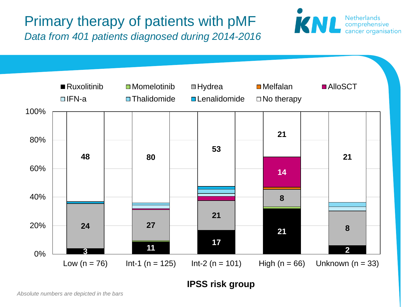Primary therapy of patients with pMF *Data from 401 patients diagnosed during 2014-2016*





**IPSS risk group**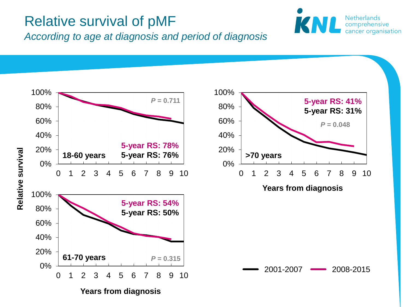### Relative survival of pMF



*According to age at diagnosis and period of diagnosis*

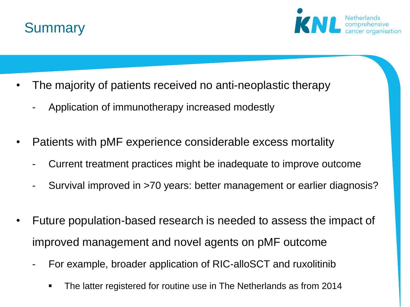



- The majority of patients received no anti-neoplastic therapy
	- Application of immunotherapy increased modestly
- Patients with pMF experience considerable excess mortality
	- Current treatment practices might be inadequate to improve outcome
	- Survival improved in >70 years: better management or earlier diagnosis?
- Future population-based research is needed to assess the impact of improved management and novel agents on pMF outcome
	- For example, broader application of RIC-alloSCT and ruxolitinib
		- The latter registered for routine use in The Netherlands as from 2014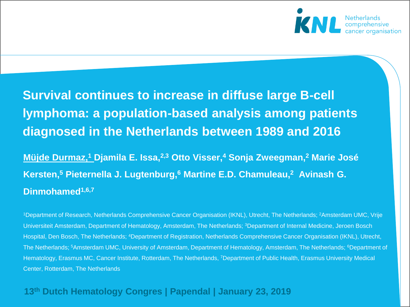

### **Survival continues to increase in diffuse large B-cell lymphoma: a population-based analysis among patients diagnosed in the Netherlands between 1989 and 2016**

### **Müjde Durmaz,<sup>1</sup> Djamila E. Issa,2,3 Otto Visser,<sup>4</sup> Sonja Zweegman,<sup>2</sup> Marie José Kersten,<sup>5</sup> Pieternella J. Lugtenburg,<sup>6</sup> Martine E.D. Chamuleau,<sup>2</sup> Avinash G. Dinmohamed1,6,7**

<sup>1</sup>Department of Research, Netherlands Comprehensive Cancer Organisation (IKNL), Utrecht, The Netherlands; <sup>2</sup>Amsterdam UMC, Vrije Universiteit Amsterdam, Department of Hematology, Amsterdam, The Netherlands; <sup>3</sup>Department of Internal Medicine, Jeroen Bosch Hospital, Den Bosch, The Netherlands; <sup>4</sup>Department of Registration, Netherlands Comprehensive Cancer Organisation (IKNL), Utrecht, The Netherlands; <sup>5</sup>Amsterdam UMC, University of Amsterdam, Department of Hematology, Amsterdam, The Netherlands; <sup>6</sup>Department of Hematology, Erasmus MC, Cancer Institute, Rotterdam, The Netherlands, <sup>7</sup>Department of Public Health, Erasmus University Medical Center, Rotterdam, The Netherlands

#### **13th Dutch Hematology Congres | Papendal | January 23, 2019**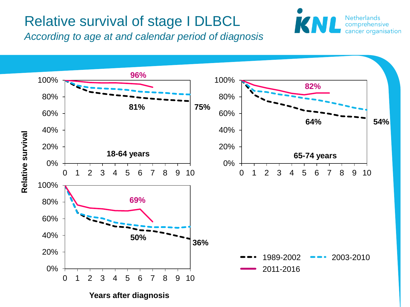### Relative survival of stage I DLBCL

*According to age at and calendar period of diagnosis*



**Netherlands** comprehensive cancer organisation

**Years after diagnosis**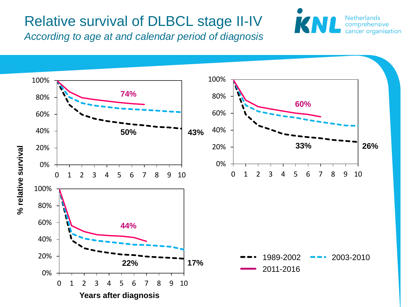### Relative survival of DLBCL stage II-IV



*According to age at and calendar period of diagnosis*

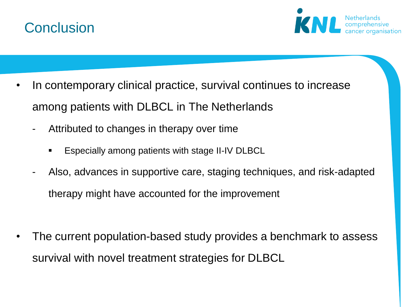



- In contemporary clinical practice, survival continues to increase among patients with DLBCL in The Netherlands
	- Attributed to changes in therapy over time
		- Especially among patients with stage II-IV DLBCL
	- Also, advances in supportive care, staging techniques, and risk-adapted therapy might have accounted for the improvement
- The current population-based study provides a benchmark to assess survival with novel treatment strategies for DLBCL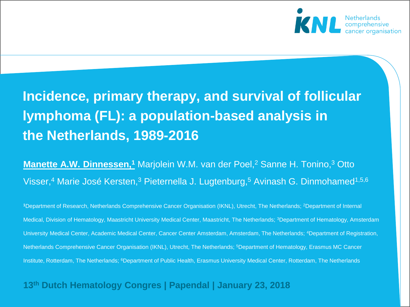

### **Incidence, primary therapy, and survival of follicular lymphoma (FL): a population-based analysis in the Netherlands, 1989-2016**

**Manette A.W. Dinnessen,<sup>1</sup> Marjolein W.M. van der Poel,<sup>2</sup> Sanne H. Tonino,<sup>3</sup> Otto** Visser,<sup>4</sup> Marie José Kersten,<sup>3</sup> Pieternella J. Lugtenburg,<sup>5</sup> Avinash G. Dinmohamed<sup>1,5,6</sup>

**<sup>1</sup>**Department of Research, Netherlands Comprehensive Cancer Organisation (IKNL), Utrecht, The Netherlands; <sup>2</sup>Department of Internal Medical, Division of Hematology, Maastricht University Medical Center, Maastricht, The Netherlands; <sup>3</sup>Department of Hematology, Amsterdam University Medical Center, Academic Medical Center, Cancer Center Amsterdam, Amsterdam, The Netherlands; <sup>4</sup>Department of Registration, Netherlands Comprehensive Cancer Organisation (IKNL), Utrecht, The Netherlands; <sup>5</sup>Department of Hematology, Erasmus MC Cancer Institute, Rotterdam, The Netherlands; <sup>6</sup>Department of Public Health, Erasmus University Medical Center, Rotterdam, The Netherlands

#### **13th Dutch Hematology Congres | Papendal | January 23, 2018**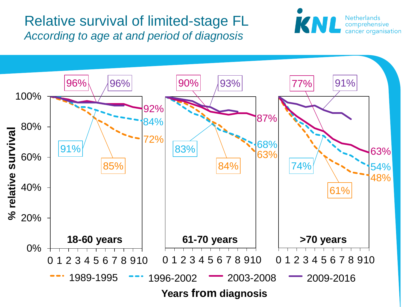### Relative survival of limited-stage FL *According to age at and period of diagnosis*



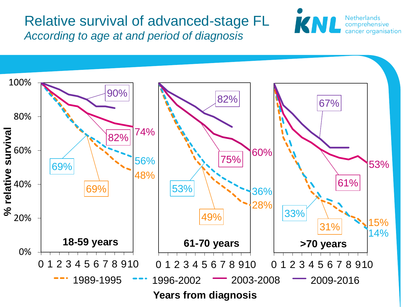Relative survival of advanced-stage FL *According to age at and period of diagnosis*



**Netherlands** 

comprehensive cancer organisation

KNI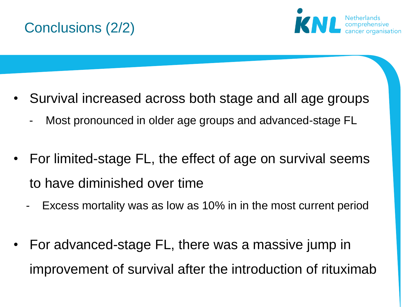



- Survival increased across both stage and all age groups
	- Most pronounced in older age groups and advanced-stage FL
- For limited-stage FL, the effect of age on survival seems to have diminished over time
	- Excess mortality was as low as 10% in in the most current period
- For advanced-stage FL, there was a massive jump in improvement of survival after the introduction of rituximab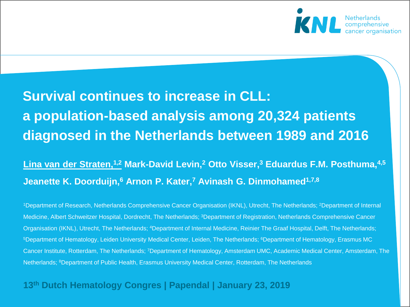

## **Survival continues to increase in CLL: a population-based analysis among 20,324 patients diagnosed in the Netherlands between 1989 and 2016**

### **Lina van der Straten,1,2 Mark-David Levin,<sup>2</sup> Otto Visser,<sup>3</sup> Eduardus F.M. Posthuma,4,5 Jeanette K. Doorduijn,<sup>6</sup> Arnon P. Kater,<sup>7</sup> Avinash G. Dinmohamed1,7,8**

<sup>1</sup>Department of Research, Netherlands Comprehensive Cancer Organisation (IKNL), Utrecht, The Netherlands; <sup>2</sup>Department of Internal Medicine, Albert Schweitzer Hospital, Dordrecht, The Netherlands; <sup>3</sup>Department of Registration, Netherlands Comprehensive Cancer Organisation (IKNL), Utrecht, The Netherlands; <sup>4</sup>Department of Internal Medicine, Reinier The Graaf Hospital, Delft, The Netherlands; <sup>5</sup>Department of Hematology, Leiden University Medical Center, Leiden, The Netherlands; <sup>6</sup>Department of Hematology, Erasmus MC Cancer Institute, Rotterdam, The Netherlands; <sup>7</sup>Department of Hematology, Amsterdam UMC, Academic Medical Center, Amsterdam, The Netherlands; <sup>8</sup>Department of Public Health, Erasmus University Medical Center, Rotterdam, The Netherlands

#### **13th Dutch Hematology Congres | Papendal | January 23, 2019**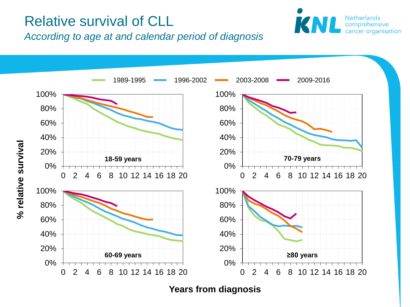### Relative survival of CLL



*According to age at and calendar period of diagnosis*



**Years from diagnosis**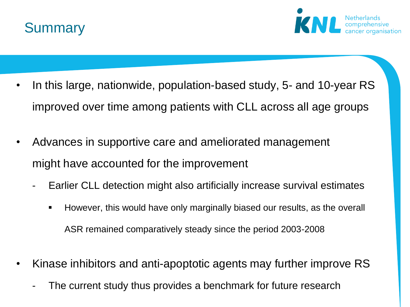



- In this large, nationwide, population-based study, 5- and 10-year RS improved over time among patients with CLL across all age groups
- Advances in supportive care and ameliorated management might have accounted for the improvement
	- Earlier CLL detection might also artificially increase survival estimates
		- However, this would have only marginally biased our results, as the overall ASR remained comparatively steady since the period 2003-2008
- Kinase inhibitors and anti-apoptotic agents may further improve RS
	- The current study thus provides a benchmark for future research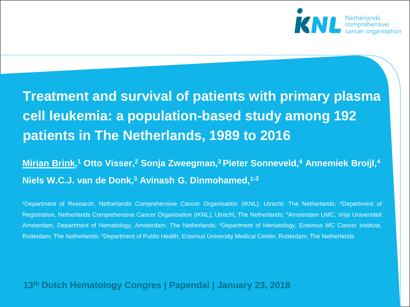

### **Treatment and survival of patients with primary plasma cell leukemia: a population-based study among 192 patients in The Netherlands, 1989 to 2016**

**Mirian Brink, <sup>1</sup> Otto Visser,<sup>2</sup> Sonja Zweegman,<sup>3</sup>Pieter Sonneveld,<sup>4</sup> Annemiek Broijl,<sup>4</sup> Niels W.C.J. van de Donk,<sup>3</sup> Avinash G. Dinmohamed,1-3**

<sup>1</sup>Department of Research, Netherlands Comprehensive Cancer Organisation (IKNL), Utrecht, The Netherlands; <sup>2</sup>Department of Registration, Netherlands Comprehensive Cancer Organisation (IKNL), Utrecht, The Netherlands; <sup>3</sup>Amsterdam UMC, Vrije Universiteit Amsterdam, Department of Hematology, Amsterdam, The Netherlands; <sup>4</sup>Department of Hematology, Erasmus MC Cancer Institute, Rotterdam, The Netherlands; <sup>5</sup>Department of Public Health, Erasmus University Medical Center, Rotterdam, The Netherlands

#### **13th Dutch Hematology Congres | Papendal | January 23, 2018**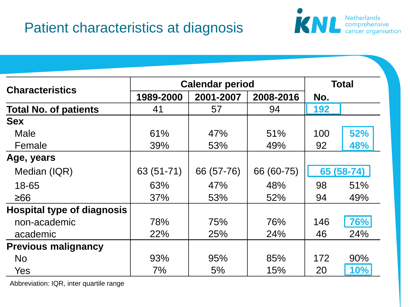### Patient characteristics at diagnosis



|                                   | <b>Calendar period</b> |            |            | <b>Total</b> |            |
|-----------------------------------|------------------------|------------|------------|--------------|------------|
| <b>Characteristics</b>            | 1989-2000              | 2001-2007  | 2008-2016  | No.          |            |
| <b>Total No. of patients</b>      | 41                     | 57         | 94         | 192          |            |
| <b>Sex</b>                        |                        |            |            |              |            |
| Male                              | 61%                    | 47%        | 51%        | 100          | 52%        |
| Female                            | 39%                    | 53%        | 49%        | 92           | 48%        |
| Age, years                        |                        |            |            |              |            |
| Median (IQR)                      | 63 (51-71)             | 66 (57-76) | 66 (60-75) |              | 65 (58-74) |
| 18-65                             | 63%                    | 47%        | 48%        | 98           | 51%        |
| ≥66                               | 37%                    | 53%        | 52%        | 94           | 49%        |
| <b>Hospital type of diagnosis</b> |                        |            |            |              |            |
| non-academic                      | 78%                    | 75%        | 76%        | 146          | 76%        |
| academic                          | 22%                    | 25%        | 24%        | 46           | 24%        |
| <b>Previous malignancy</b>        |                        |            |            |              |            |
| <b>No</b>                         | 93%                    | 95%        | 85%        | 172          | 90%        |
| Yes                               | $7\%$                  | 5%         | 15%        | 20           | 10%        |

Abbreviation: IQR, inter quartile range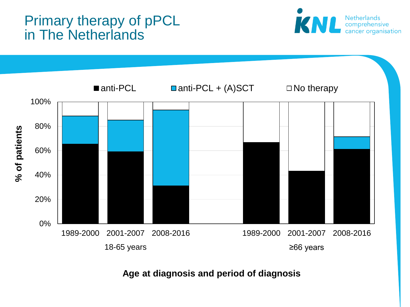### Primary therapy of pPCL in The Netherlands





**Age at diagnosis and period of diagnosis**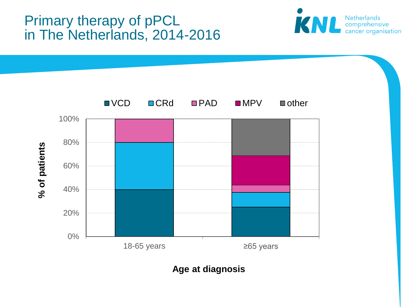### Primary therapy of pPCL in The Netherlands, 2014-2016





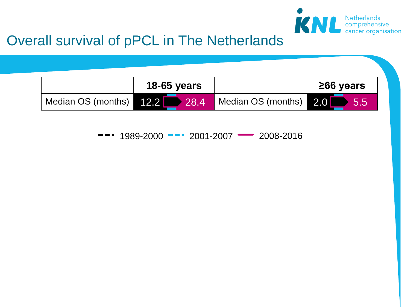

### Overall survival of pPCL in The Netherlands

|                    | <b>18-65 years</b> |                            | $\geq$ 66 years |  |  |  |
|--------------------|--------------------|----------------------------|-----------------|--|--|--|
| Median OS (months) | $12.2$ 28.4        | Median OS (months) 2.0 5.5 |                 |  |  |  |

1989-2000 -- 2001-2007 - 2008-2016  $\bullet$   $\bullet$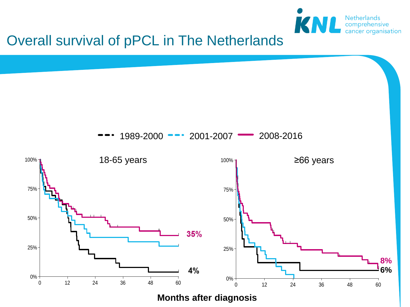

### Overall survival of pPCL in The Netherlands



**Months after diagnosis**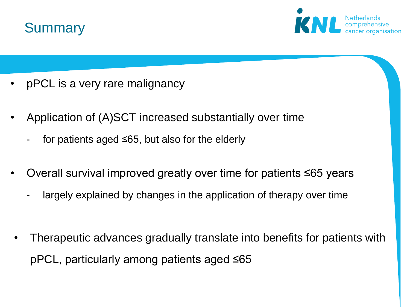



- pPCL is a very rare malignancy
- Application of (A)SCT increased substantially over time
	- for patients aged  $\leq 65$ , but also for the elderly
- Overall survival improved greatly over time for patients ≤65 years
	- largely explained by changes in the application of therapy over time
- Therapeutic advances gradually translate into benefits for patients with pPCL, particularly among patients aged ≤65